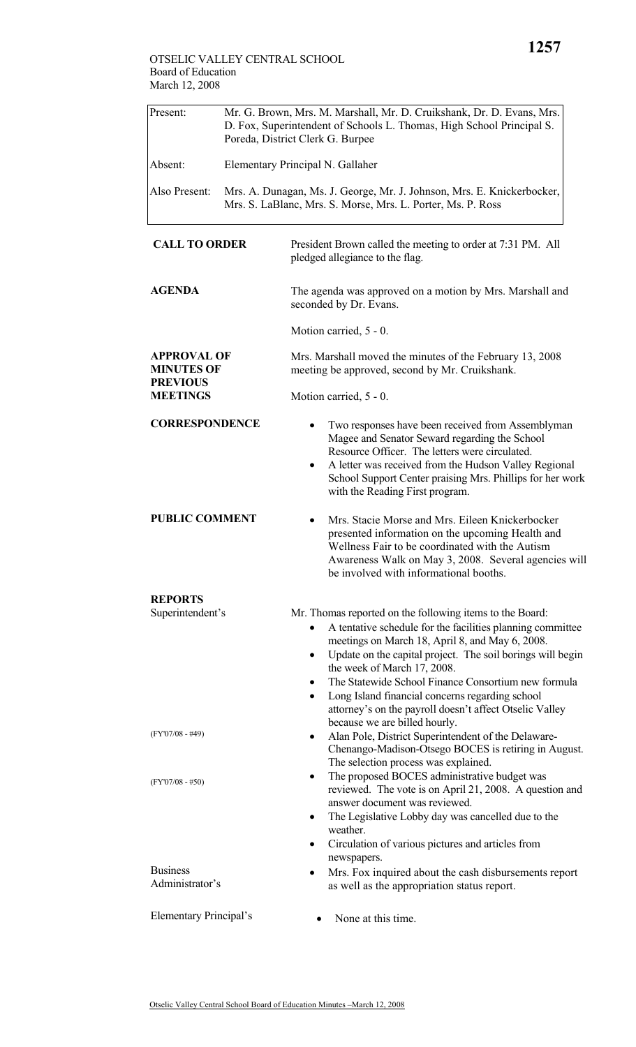| Present:      | Mr. G. Brown, Mrs. M. Marshall, Mr. D. Cruikshank, Dr. D. Evans, Mrs.<br>D. Fox, Superintendent of Schools L. Thomas, High School Principal S.<br>Poreda, District Clerk G. Burpee |
|---------------|------------------------------------------------------------------------------------------------------------------------------------------------------------------------------------|
| Absent:       | Elementary Principal N. Gallaher                                                                                                                                                   |
| Also Present: | Mrs. A. Dunagan, Ms. J. George, Mr. J. Johnson, Mrs. E. Knickerbocker,<br>Mrs. S. LaBlanc, Mrs. S. Morse, Mrs. L. Porter, Ms. P. Ross                                              |
|               |                                                                                                                                                                                    |

| <b>CALL TO ORDER</b>                                       | President Brown called the meeting to order at 7:31 PM. All<br>pledged allegiance to the flag.                                                                                                                                                                                                                                                                                                                                                                                                 |  |  |
|------------------------------------------------------------|------------------------------------------------------------------------------------------------------------------------------------------------------------------------------------------------------------------------------------------------------------------------------------------------------------------------------------------------------------------------------------------------------------------------------------------------------------------------------------------------|--|--|
| <b>AGENDA</b>                                              | The agenda was approved on a motion by Mrs. Marshall and<br>seconded by Dr. Evans.                                                                                                                                                                                                                                                                                                                                                                                                             |  |  |
|                                                            | Motion carried, 5 - 0.                                                                                                                                                                                                                                                                                                                                                                                                                                                                         |  |  |
| <b>APPROVAL OF</b><br><b>MINUTES OF</b><br><b>PREVIOUS</b> | Mrs. Marshall moved the minutes of the February 13, 2008<br>meeting be approved, second by Mr. Cruikshank.                                                                                                                                                                                                                                                                                                                                                                                     |  |  |
| <b>MEETINGS</b>                                            | Motion carried, 5 - 0.                                                                                                                                                                                                                                                                                                                                                                                                                                                                         |  |  |
| <b>CORRESPONDENCE</b>                                      | Two responses have been received from Assemblyman<br>Magee and Senator Seward regarding the School<br>Resource Officer. The letters were circulated.<br>A letter was received from the Hudson Valley Regional<br>$\bullet$<br>School Support Center praising Mrs. Phillips for her work<br>with the Reading First program.                                                                                                                                                                     |  |  |
| <b>PUBLIC COMMENT</b>                                      | Mrs. Stacie Morse and Mrs. Eileen Knickerbocker<br>presented information on the upcoming Health and<br>Wellness Fair to be coordinated with the Autism<br>Awareness Walk on May 3, 2008. Several agencies will<br>be involved with informational booths.                                                                                                                                                                                                                                       |  |  |
| <b>REPORTS</b><br>Superintendent's                         | Mr. Thomas reported on the following items to the Board:<br>A tentative schedule for the facilities planning committee<br>$\bullet$<br>meetings on March 18, April 8, and May 6, 2008.<br>Update on the capital project. The soil borings will begin<br>٠<br>the week of March 17, 2008.<br>The Statewide School Finance Consortium new formula<br>Long Island financial concerns regarding school<br>attorney's on the payroll doesn't affect Otselic Valley<br>because we are billed hourly. |  |  |
| $(FY'07/08 - #49)$                                         | Alan Pole, District Superintendent of the Delaware-<br>Chenango-Madison-Otsego BOCES is retiring in August.<br>The selection process was explained.                                                                                                                                                                                                                                                                                                                                            |  |  |
| $(FY'07/08 - #50)$                                         | The proposed BOCES administrative budget was<br>٠<br>reviewed. The vote is on April 21, 2008. A question and<br>answer document was reviewed.<br>The Legislative Lobby day was cancelled due to the<br>٠<br>weather.<br>Circulation of various pictures and articles from<br>٠                                                                                                                                                                                                                 |  |  |
| <b>Business</b><br>Administrator's                         | newspapers.<br>Mrs. Fox inquired about the cash disbursements report<br>as well as the appropriation status report.                                                                                                                                                                                                                                                                                                                                                                            |  |  |
| Elementary Principal's                                     | None at this time.                                                                                                                                                                                                                                                                                                                                                                                                                                                                             |  |  |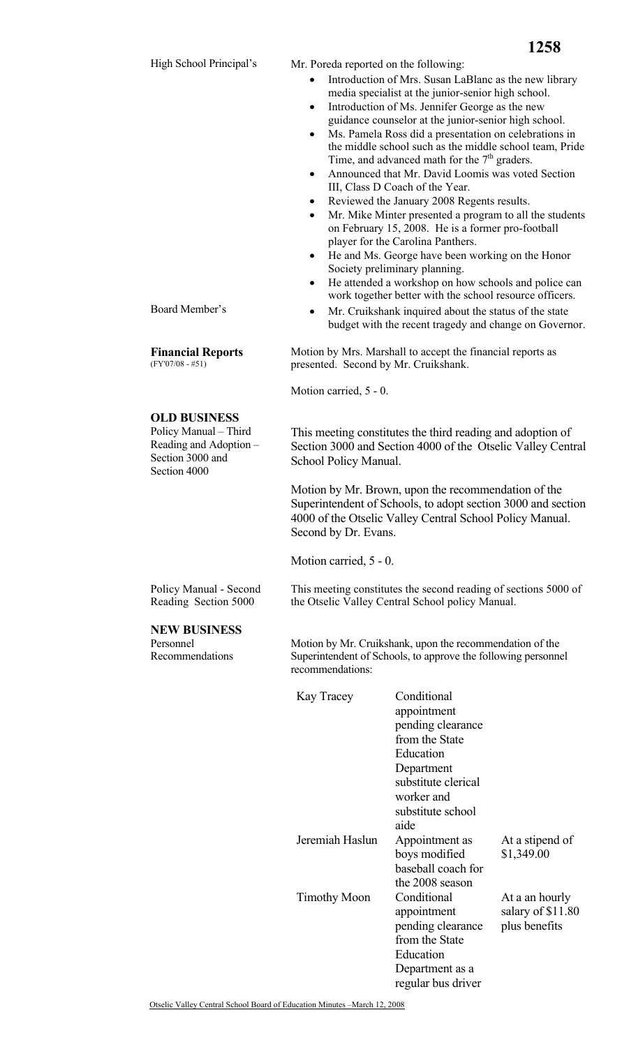Mr. Poreda reported on the following:

- Introduction of Mrs. Susan LaBlanc as the new library media specialist at the junior-senior high school.
- Introduction of Ms. Jennifer George as the new guidance counselor at the junior-senior high school. • Ms. Pamela Ross did a presentation on celebrations in
- the middle school such as the middle school team, Pride Time, and advanced math for the  $7<sup>th</sup>$  graders.
- Announced that Mr. David Loomis was voted Section III, Class D Coach of the Year.
- Reviewed the January 2008 Regents results.
- Mr. Mike Minter presented a program to all the students on February 15, 2008. He is a former pro-football player for the Carolina Panthers.
- He and Ms. George have been working on the Honor Society preliminary planning.
- He attended a workshop on how schools and police can work together better with the school resource officers.
- Board Member's Mr. Cruikshank inquired about the status of the state budget with the recent tragedy and change on Governor.

 Motion by Mrs. Marshall to accept the financial reports as presented. Second by Mr. Cruikshank.

Motion carried, 5 - 0.

This meeting constitutes the third reading and adoption of Section 3000 and Section 4000 of the Otselic Valley Central School Policy Manual.

Motion by Mr. Brown, upon the recommendation of the Superintendent of Schools, to adopt section 3000 and section 4000 of the Otselic Valley Central School Policy Manual. Second by Dr. Evans.

This meeting constitutes the second reading of sections 5000 of

Motion carried, 5 - 0.

Policy Manual - Second Reading Section 5000

## **NEW BUSINESS**

Personnel Recommendations  Motion by Mr. Cruikshank, upon the recommendation of the Superintendent of Schools, to approve the following personnel recommendations:

the Otselic Valley Central School policy Manual.

| Kay Tracey          | Conditional<br>appointment<br>pending clearance<br>from the State<br>Education<br>Department<br>substitute clerical<br>worker and<br>substitute school<br>aide |                                                      |
|---------------------|----------------------------------------------------------------------------------------------------------------------------------------------------------------|------------------------------------------------------|
| Jeremiah Haslun     | Appointment as<br>boys modified<br>baseball coach for<br>the 2008 season                                                                                       | At a stipend of<br>\$1,349.00                        |
| <b>Timothy Moon</b> | Conditional<br>appointment<br>pending clearance<br>from the State<br>Education<br>Department as a<br>regular bus driver                                        | At a an hourly<br>salary of \$11.80<br>plus benefits |

Otselic Valley Central School Board of Education Minutes –March 12, 2008

**Financial Reports**  (FY'07/08 - #51)

## **OLD BUSINESS**

Policy Manual – Third Reading and Adoption – Section 3000 and Section 4000